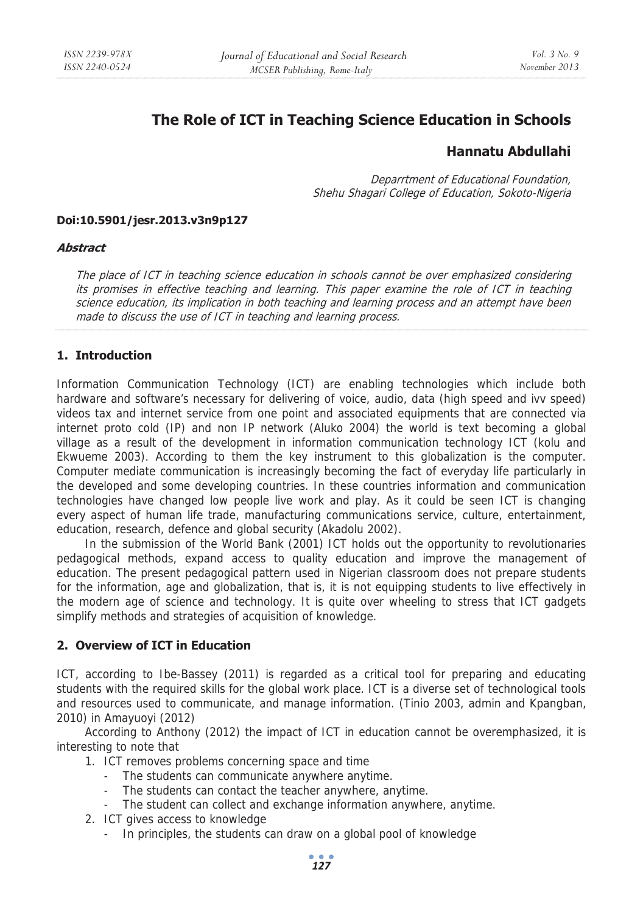# **The Role of ICT in Teaching Science Education in Schools**

# **Hannatu Abdullahi**

Deparrtment of Educational Foundation, Shehu Shagari College of Education, Sokoto-Nigeria

#### **Doi:10.5901/jesr.2013.v3n9p127**

#### **Abstract**

The place of ICT in teaching science education in schools cannot be over emphasized considering its promises in effective teaching and learning. This paper examine the role of ICT in teaching science education, its implication in both teaching and learning process and an attempt have been made to discuss the use of ICT in teaching and learning process.

### **1. Introduction**

Information Communication Technology (ICT) are enabling technologies which include both hardware and software's necessary for delivering of voice, audio, data (high speed and ivv speed) videos tax and internet service from one point and associated equipments that are connected via internet proto cold (IP) and non IP network (Aluko 2004) the world is text becoming a global village as a result of the development in information communication technology ICT (kolu and Ekwueme 2003). According to them the key instrument to this globalization is the computer. Computer mediate communication is increasingly becoming the fact of everyday life particularly in the developed and some developing countries. In these countries information and communication technologies have changed low people live work and play. As it could be seen ICT is changing every aspect of human life trade, manufacturing communications service, culture, entertainment, education, research, defence and global security (Akadolu 2002).

In the submission of the World Bank (2001) ICT holds out the opportunity to revolutionaries pedagogical methods, expand access to quality education and improve the management of education. The present pedagogical pattern used in Nigerian classroom does not prepare students for the information, age and globalization, that is, it is not equipping students to live effectively in the modern age of science and technology. It is quite over wheeling to stress that ICT gadgets simplify methods and strategies of acquisition of knowledge.

# **2. Overview of ICT in Education**

ICT, according to Ibe-Bassey (2011) is regarded as a critical tool for preparing and educating students with the required skills for the global work place. ICT is a diverse set of technological tools and resources used to communicate, and manage information. (Tinio 2003, admin and Kpangban, 2010) in Amayuoyi (2012)

According to Anthony (2012) the impact of ICT in education cannot be overemphasized, it is interesting to note that

- 1. ICT removes problems concerning space and time
	- The students can communicate anywhere anytime.
	- The students can contact the teacher anywhere, anytime.
	- The student can collect and exchange information anywhere, anytime.
- 2. ICT gives access to knowledge
	- In principles, the students can draw on a global pool of knowledge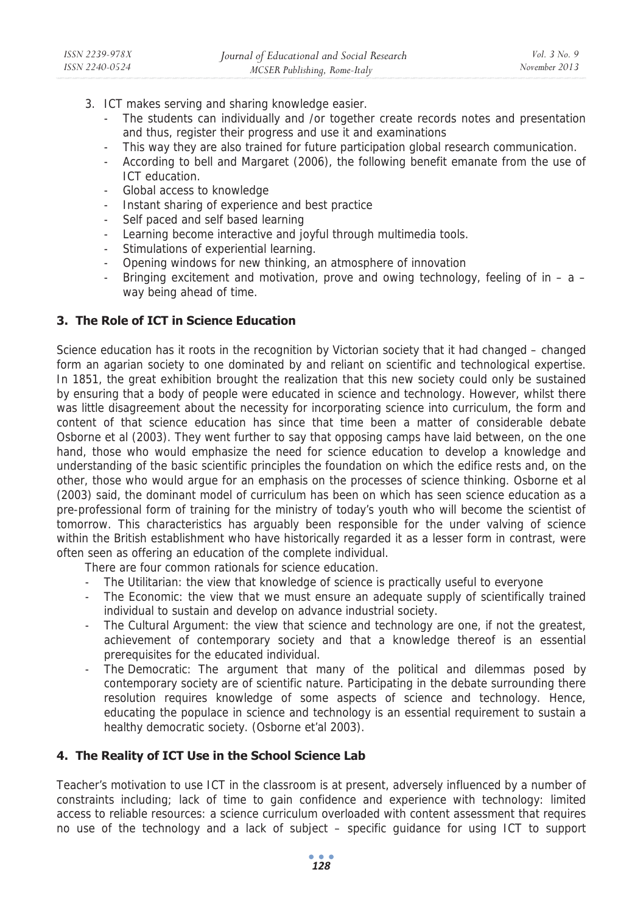- 3. ICT makes serving and sharing knowledge easier.
	- The students can individually and /or together create records notes and presentation and thus, register their progress and use it and examinations
	- This way they are also trained for future participation global research communication.
	- According to bell and Margaret (2006), the following benefit emanate from the use of ICT education.
	- Global access to knowledge
	- Instant sharing of experience and best practice
	- Self paced and self based learning
	- Learning become interactive and joyful through multimedia tools.
	- Stimulations of experiential learning.
	- Opening windows for new thinking, an atmosphere of innovation
	- Bringing excitement and motivation, prove and owing technology, feeling of in  $a$  way being ahead of time.

# **3. The Role of ICT in Science Education**

Science education has it roots in the recognition by Victorian society that it had changed – changed form an agarian society to one dominated by and reliant on scientific and technological expertise. In 1851, the great exhibition brought the realization that this new society could only be sustained by ensuring that a body of people were educated in science and technology. However, whilst there was little disagreement about the necessity for incorporating science into curriculum, the form and content of that science education has since that time been a matter of considerable debate Osborne et al (2003). They went further to say that opposing camps have laid between, on the one hand, those who would emphasize the need for science education to develop a knowledge and understanding of the basic scientific principles the foundation on which the edifice rests and, on the other, those who would argue for an emphasis on the processes of science thinking. Osborne et al (2003) said, the dominant model of curriculum has been on which has seen science education as a pre-professional form of training for the ministry of today's youth who will become the scientist of tomorrow. This characteristics has arguably been responsible for the under valving of science within the British establishment who have historically regarded it as a lesser form in contrast, were often seen as offering an education of the complete individual.

There are four common rationals for science education.

- The Utilitarian: the view that knowledge of science is practically useful to everyone
- The Economic: the view that we must ensure an adequate supply of scientifically trained individual to sustain and develop on advance industrial society.
- The Cultural Argument: the view that science and technology are one, if not the greatest, achievement of contemporary society and that a knowledge thereof is an essential prerequisites for the educated individual.
- The Democratic: The argument that many of the political and dilemmas posed by contemporary society are of scientific nature. Participating in the debate surrounding there resolution requires knowledge of some aspects of science and technology. Hence, educating the populace in science and technology is an essential requirement to sustain a healthy democratic society. (Osborne et'al 2003).

# **4. The Reality of ICT Use in the School Science Lab**

Teacher's motivation to use ICT in the classroom is at present, adversely influenced by a number of constraints including; lack of time to gain confidence and experience with technology: limited access to reliable resources: a science curriculum overloaded with content assessment that requires no use of the technology and a lack of subject – specific guidance for using ICT to support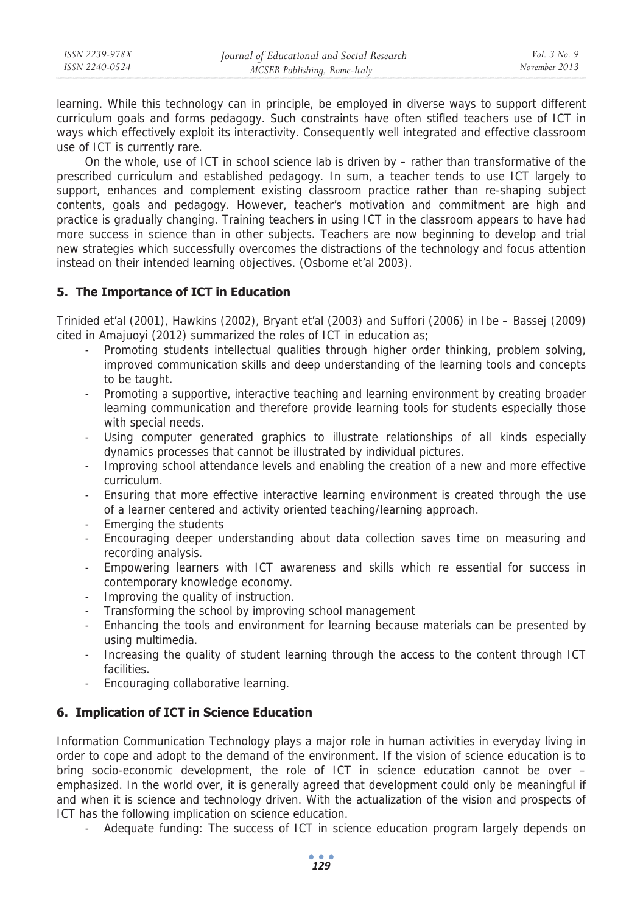| ISSN 2239-978X | Journal of Educational and Social Research | <i>Vol.</i> $3$ No. 9 |
|----------------|--------------------------------------------|-----------------------|
| ISSN 2240-0524 | MCSER Publishing, Rome-Italy               | November 2013         |
|                |                                            |                       |

learning. While this technology can in principle, be employed in diverse ways to support different curriculum goals and forms pedagogy. Such constraints have often stifled teachers use of ICT in ways which effectively exploit its interactivity. Consequently well integrated and effective classroom use of ICT is currently rare.

On the whole, use of ICT in school science lab is driven by – rather than transformative of the prescribed curriculum and established pedagogy. In sum, a teacher tends to use ICT largely to support, enhances and complement existing classroom practice rather than re-shaping subject contents, goals and pedagogy. However, teacher's motivation and commitment are high and practice is gradually changing. Training teachers in using ICT in the classroom appears to have had more success in science than in other subjects. Teachers are now beginning to develop and trial new strategies which successfully overcomes the distractions of the technology and focus attention instead on their intended learning objectives. (Osborne et'al 2003).

### **5. The Importance of ICT in Education**

Trinided et'al (2001), Hawkins (2002), Bryant et'al (2003) and Suffori (2006) in Ibe – Bassej (2009) cited in Amajuoyi (2012) summarized the roles of ICT in education as;

- Promoting students intellectual qualities through higher order thinking, problem solving, improved communication skills and deep understanding of the learning tools and concepts to be taught.
- Promoting a supportive, interactive teaching and learning environment by creating broader learning communication and therefore provide learning tools for students especially those with special needs.
- Using computer generated graphics to illustrate relationships of all kinds especially dynamics processes that cannot be illustrated by individual pictures.
- Improving school attendance levels and enabling the creation of a new and more effective curriculum.
- Ensuring that more effective interactive learning environment is created through the use of a learner centered and activity oriented teaching/learning approach.
- Emerging the students
- Encouraging deeper understanding about data collection saves time on measuring and recording analysis.
- Empowering learners with ICT awareness and skills which re essential for success in contemporary knowledge economy.
- Improving the quality of instruction.
- Transforming the school by improving school management
- Enhancing the tools and environment for learning because materials can be presented by using multimedia.
- Increasing the quality of student learning through the access to the content through ICT facilities.
- Encouraging collaborative learning.

### **6. Implication of ICT in Science Education**

Information Communication Technology plays a major role in human activities in everyday living in order to cope and adopt to the demand of the environment. If the vision of science education is to bring socio-economic development, the role of ICT in science education cannot be over – emphasized. In the world over, it is generally agreed that development could only be meaningful if and when it is science and technology driven. With the actualization of the vision and prospects of ICT has the following implication on science education.

- Adequate funding: The success of ICT in science education program largely depends on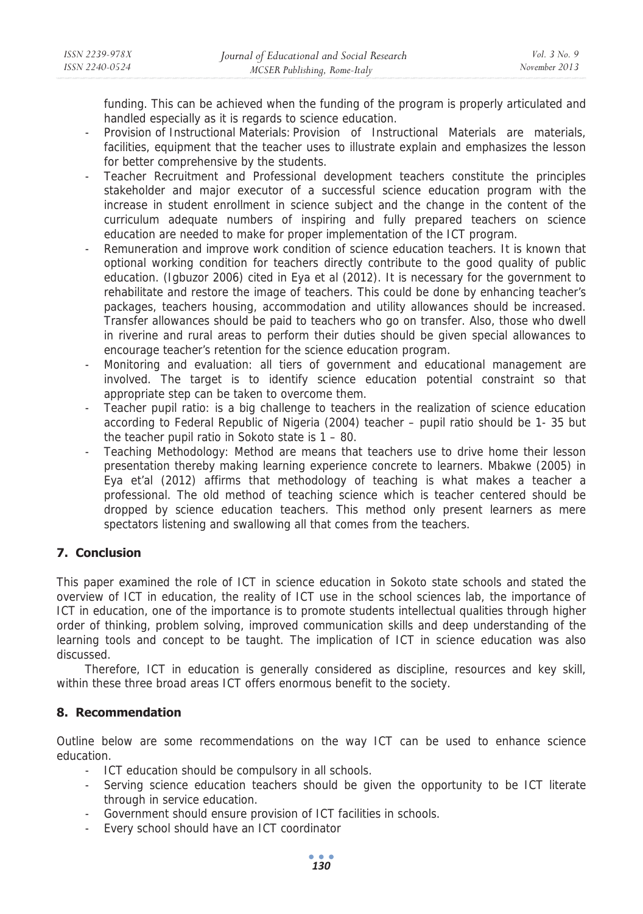funding. This can be achieved when the funding of the program is properly articulated and handled especially as it is regards to science education.

- Provision of Instructional Materials: Provision of Instructional Materials are materials, facilities, equipment that the teacher uses to illustrate explain and emphasizes the lesson for better comprehensive by the students.
- Teacher Recruitment and Professional development teachers constitute the principles stakeholder and major executor of a successful science education program with the increase in student enrollment in science subject and the change in the content of the curriculum adequate numbers of inspiring and fully prepared teachers on science education are needed to make for proper implementation of the ICT program.
- Remuneration and improve work condition of science education teachers. It is known that optional working condition for teachers directly contribute to the good quality of public education. (Igbuzor 2006) cited in Eya et al (2012). It is necessary for the government to rehabilitate and restore the image of teachers. This could be done by enhancing teacher's packages, teachers housing, accommodation and utility allowances should be increased. Transfer allowances should be paid to teachers who go on transfer. Also, those who dwell in riverine and rural areas to perform their duties should be given special allowances to encourage teacher's retention for the science education program.
- Monitoring and evaluation: all tiers of government and educational management are involved. The target is to identify science education potential constraint so that appropriate step can be taken to overcome them.
- Teacher pupil ratio: is a big challenge to teachers in the realization of science education according to Federal Republic of Nigeria (2004) teacher – pupil ratio should be 1- 35 but the teacher pupil ratio in Sokoto state is 1 – 80.
- Teaching Methodology: Method are means that teachers use to drive home their lesson presentation thereby making learning experience concrete to learners. Mbakwe (2005) in Eya et'al (2012) affirms that methodology of teaching is what makes a teacher a professional. The old method of teaching science which is teacher centered should be dropped by science education teachers. This method only present learners as mere spectators listening and swallowing all that comes from the teachers.

# **7. Conclusion**

This paper examined the role of ICT in science education in Sokoto state schools and stated the overview of ICT in education, the reality of ICT use in the school sciences lab, the importance of ICT in education, one of the importance is to promote students intellectual qualities through higher order of thinking, problem solving, improved communication skills and deep understanding of the learning tools and concept to be taught. The implication of ICT in science education was also discussed.

Therefore, ICT in education is generally considered as discipline, resources and key skill, within these three broad areas ICT offers enormous benefit to the society.

# **8. Recommendation**

Outline below are some recommendations on the way ICT can be used to enhance science education.

- ICT education should be compulsory in all schools.
- Serving science education teachers should be given the opportunity to be ICT literate through in service education.
- Government should ensure provision of ICT facilities in schools.
- Every school should have an ICT coordinator